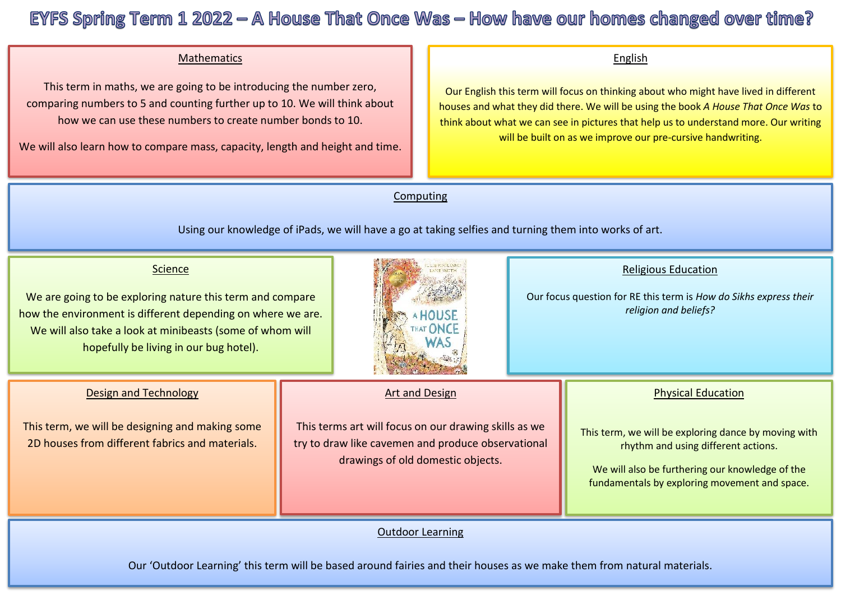## EYFS Spring Term  $1\,2022 - A$  House That Once Was - How have our homes changed over time?

## Mathematics

 This term in maths, we are going to be introducing the number zero, Ï comparing numbers to 5 and counting further up to 10. We will think about how we can use these numbers to create number bonds to 10.

We will also learn how to compare mass, capacity, length and height and time.

## English

Our English this term will focus on thinking about who might have lived in different houses and what they did there. We will be using the book *A House That Once Was* to think about what we can see in pictures that help us to understand more. Our writing will be built on as we improve our pre-cursive handwriting.

Computing

Using our knowledge of iPads, we will have a go at taking selfies and turning them into works of art.

| <b>Science</b><br>We are going to be exploring nature this term and compare<br>how the environment is different depending on where we are.<br>We will also take a look at minibeasts (some of whom will<br>hopefully be living in our bug hotel). |                                                                                                                                                                           | HAT ONCE |  | <b>Religious Education</b><br>Our focus question for RE this term is How do Sikhs express their<br>religion and beliefs?                                                                                                     |
|---------------------------------------------------------------------------------------------------------------------------------------------------------------------------------------------------------------------------------------------------|---------------------------------------------------------------------------------------------------------------------------------------------------------------------------|----------|--|------------------------------------------------------------------------------------------------------------------------------------------------------------------------------------------------------------------------------|
| <b>Design and Technology</b><br>This term, we will be designing and making some<br>2D houses from different fabrics and materials.                                                                                                                | <b>Art and Design</b><br>This terms art will focus on our drawing skills as we<br>try to draw like cavemen and produce observational<br>drawings of old domestic objects. |          |  | <b>Physical Education</b><br>This term, we will be exploring dance by moving with<br>rhythm and using different actions.<br>We will also be furthering our knowledge of the<br>fundamentals by exploring movement and space. |
| <b>Outdoor Learning</b>                                                                                                                                                                                                                           |                                                                                                                                                                           |          |  |                                                                                                                                                                                                                              |

Our 'Outdoor Learning' this term will be based around fairies and their houses as we make them from natural materials.